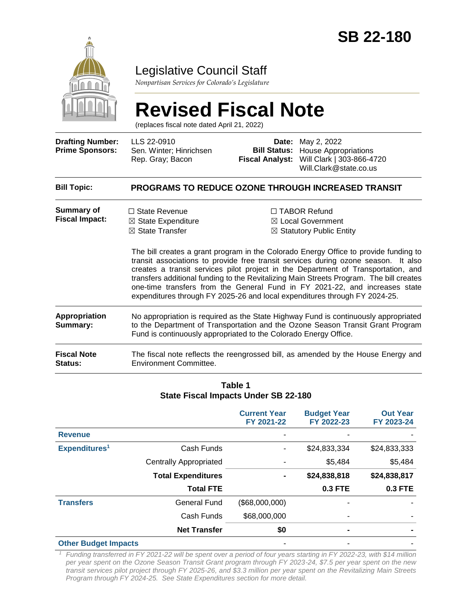

## Legislative Council Staff

*Nonpartisan Services for Colorado's Legislature*

# **Revised Fiscal Note**

(replaces fiscal note dated April 21, 2022)

| <b>Drafting Number:</b><br><b>Prime Sponsors:</b> | LLS 22-0910<br>Sen. Winter; Hinrichsen<br>Rep. Gray; Bacon                                                                                                                                                                                | Date:<br><b>Bill Status:</b><br><b>Fiscal Analyst:</b>                                                                                                                                                                                                                                                                                                                                                                                                                                                                                                                                                                | May 2, 2022<br><b>House Appropriations</b><br>Will Clark   303-866-4720<br>Will.Clark@state.co.us |  |
|---------------------------------------------------|-------------------------------------------------------------------------------------------------------------------------------------------------------------------------------------------------------------------------------------------|-----------------------------------------------------------------------------------------------------------------------------------------------------------------------------------------------------------------------------------------------------------------------------------------------------------------------------------------------------------------------------------------------------------------------------------------------------------------------------------------------------------------------------------------------------------------------------------------------------------------------|---------------------------------------------------------------------------------------------------|--|
| <b>Bill Topic:</b>                                |                                                                                                                                                                                                                                           |                                                                                                                                                                                                                                                                                                                                                                                                                                                                                                                                                                                                                       | <b>PROGRAMS TO REDUCE OZONE THROUGH INCREASED TRANSIT</b>                                         |  |
| <b>Summary of</b><br><b>Fiscal Impact:</b>        | $\Box$ State Revenue<br>$\boxtimes$ State Expenditure<br>$\boxtimes$ State Transfer                                                                                                                                                       | $\Box$ TABOR Refund<br>$\boxtimes$ Local Government<br>$\boxtimes$ Statutory Public Entity<br>The bill creates a grant program in the Colorado Energy Office to provide funding to<br>transit associations to provide free transit services during ozone season. It also<br>creates a transit services pilot project in the Department of Transportation, and<br>transfers additional funding to the Revitalizing Main Streets Program. The bill creates<br>one-time transfers from the General Fund in FY 2021-22, and increases state<br>expenditures through FY 2025-26 and local expenditures through FY 2024-25. |                                                                                                   |  |
| <b>Appropriation</b><br>Summary:                  | No appropriation is required as the State Highway Fund is continuously appropriated<br>to the Department of Transportation and the Ozone Season Transit Grant Program<br>Fund is continuously appropriated to the Colorado Energy Office. |                                                                                                                                                                                                                                                                                                                                                                                                                                                                                                                                                                                                                       |                                                                                                   |  |
| <b>Fiscal Note</b><br><b>Status:</b>              | The fiscal note reflects the reengrossed bill, as amended by the House Energy and<br>Environment Committee.                                                                                                                               |                                                                                                                                                                                                                                                                                                                                                                                                                                                                                                                                                                                                                       |                                                                                                   |  |

#### **Table 1 State Fiscal Impacts Under SB 22-180**

|                             |                               | <b>Current Year</b><br>FY 2021-22 | <b>Budget Year</b><br>FY 2022-23 | <b>Out Year</b><br>FY 2023-24 |
|-----------------------------|-------------------------------|-----------------------------------|----------------------------------|-------------------------------|
| <b>Revenue</b>              |                               |                                   |                                  |                               |
| Expenditures <sup>1</sup>   | Cash Funds                    |                                   | \$24,833,334                     | \$24,833,333                  |
|                             | <b>Centrally Appropriated</b> |                                   | \$5,484                          | \$5,484                       |
|                             | <b>Total Expenditures</b>     | $\blacksquare$                    | \$24,838,818                     | \$24,838,817                  |
|                             | <b>Total FTE</b>              |                                   | <b>0.3 FTE</b>                   | <b>0.3 FTE</b>                |
| <b>Transfers</b>            | <b>General Fund</b>           | (\$68,000,000)                    |                                  |                               |
|                             | Cash Funds                    | \$68,000,000                      |                                  |                               |
|                             | <b>Net Transfer</b>           | \$0                               |                                  |                               |
| <b>Other Budget Impacts</b> |                               |                                   |                                  |                               |

*<sup>1</sup> Funding transferred in FY 2021-22 will be spent over a period of four years starting in FY 2022-23, with \$14 million per year spent on the Ozone Season Transit Grant program through FY 2023-24, \$7.5 per year spent on the new transit services pilot project through FY 2025-26, and \$3.3 million per year spent on the Revitalizing Main Streets Program through FY 2024-25. See State Expenditures section for more detail.*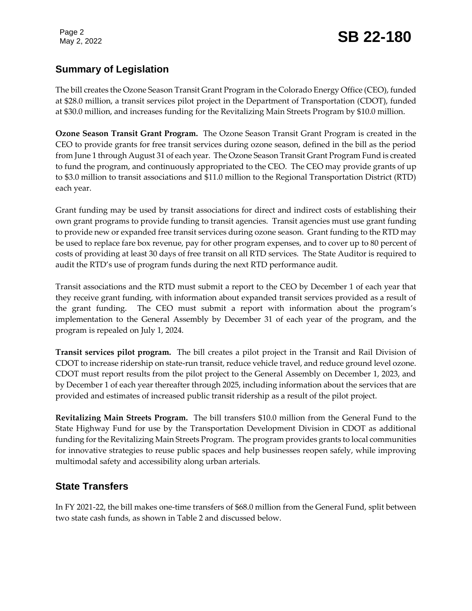## Page 2<br>May 2, 2022 **SB 22-180**

## **Summary of Legislation**

The bill creates the Ozone Season Transit Grant Program in the Colorado Energy Office (CEO), funded at \$28.0 million, a transit services pilot project in the Department of Transportation (CDOT), funded at \$30.0 million, and increases funding for the Revitalizing Main Streets Program by \$10.0 million.

**Ozone Season Transit Grant Program.** The Ozone Season Transit Grant Program is created in the CEO to provide grants for free transit services during ozone season, defined in the bill as the period from June 1 through August 31 of each year. The Ozone Season Transit Grant Program Fund is created to fund the program, and continuously appropriated to the CEO. The CEO may provide grants of up to \$3.0 million to transit associations and \$11.0 million to the Regional Transportation District (RTD) each year.

Grant funding may be used by transit associations for direct and indirect costs of establishing their own grant programs to provide funding to transit agencies. Transit agencies must use grant funding to provide new or expanded free transit services during ozone season. Grant funding to the RTD may be used to replace fare box revenue, pay for other program expenses, and to cover up to 80 percent of costs of providing at least 30 days of free transit on all RTD services. The State Auditor is required to audit the RTD's use of program funds during the next RTD performance audit.

Transit associations and the RTD must submit a report to the CEO by December 1 of each year that they receive grant funding, with information about expanded transit services provided as a result of the grant funding. The CEO must submit a report with information about the program's implementation to the General Assembly by December 31 of each year of the program, and the program is repealed on July 1, 2024.

**Transit services pilot program.** The bill creates a pilot project in the Transit and Rail Division of CDOT to increase ridership on state-run transit, reduce vehicle travel, and reduce ground level ozone. CDOT must report results from the pilot project to the General Assembly on December 1, 2023, and by December 1 of each year thereafter through 2025, including information about the services that are provided and estimates of increased public transit ridership as a result of the pilot project.

**Revitalizing Main Streets Program.** The bill transfers \$10.0 million from the General Fund to the State Highway Fund for use by the Transportation Development Division in CDOT as additional funding for the Revitalizing Main Streets Program. The program provides grants to local communities for innovative strategies to reuse public spaces and help businesses reopen safely, while improving multimodal safety and accessibility along urban arterials.

## **State Transfers**

In FY 2021-22, the bill makes one-time transfers of \$68.0 million from the General Fund, split between two state cash funds, as shown in Table 2 and discussed below.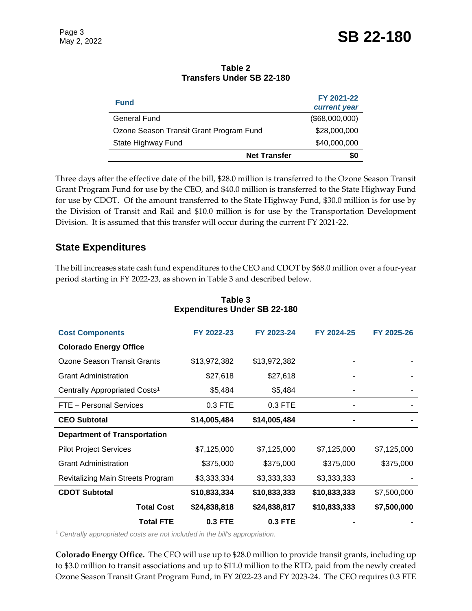| <b>Fund</b>                             |                     | FY 2021-22     |
|-----------------------------------------|---------------------|----------------|
|                                         |                     | current year   |
| <b>General Fund</b>                     |                     | (\$68,000,000) |
| Ozone Season Transit Grant Program Fund |                     | \$28,000,000   |
| State Highway Fund                      |                     | \$40,000,000   |
|                                         | <b>Net Transfer</b> | \$0            |
|                                         |                     |                |

#### **Table 2 Transfers Under SB 22-180**

Three days after the effective date of the bill, \$28.0 million is transferred to the Ozone Season Transit Grant Program Fund for use by the CEO, and \$40.0 million is transferred to the State Highway Fund for use by CDOT. Of the amount transferred to the State Highway Fund, \$30.0 million is for use by the Division of Transit and Rail and \$10.0 million is for use by the Transportation Development Division. It is assumed that this transfer will occur during the current FY 2021-22.

### **State Expenditures**

The bill increases state cash fund expenditures to the CEO and CDOT by \$68.0 million over a four-year period starting in FY 2022-23, as shown in Table 3 and described below.

| <b>Cost Components</b>                    | FY 2022-23     | FY 2023-24   | FY 2024-25   | FY 2025-26  |
|-------------------------------------------|----------------|--------------|--------------|-------------|
| <b>Colorado Energy Office</b>             |                |              |              |             |
| Ozone Season Transit Grants               | \$13,972,382   | \$13,972,382 |              |             |
| <b>Grant Administration</b>               | \$27,618       | \$27,618     |              |             |
| Centrally Appropriated Costs <sup>1</sup> | \$5,484        | \$5,484      |              |             |
| FTE - Personal Services                   | 0.3 FTE        | $0.3$ FTE    |              |             |
| <b>CEO Subtotal</b>                       | \$14,005,484   | \$14,005,484 |              |             |
| <b>Department of Transportation</b>       |                |              |              |             |
| <b>Pilot Project Services</b>             | \$7,125,000    | \$7,125,000  | \$7,125,000  | \$7,125,000 |
| <b>Grant Administration</b>               | \$375,000      | \$375,000    | \$375,000    | \$375,000   |
| Revitalizing Main Streets Program         | \$3,333,334    | \$3,333,333  | \$3,333,333  |             |
| <b>CDOT Subtotal</b>                      | \$10,833,334   | \$10,833,333 | \$10,833,333 | \$7,500,000 |
| <b>Total Cost</b>                         | \$24,838,818   | \$24,838,817 | \$10,833,333 | \$7,500,000 |
| <b>Total FTE</b>                          | <b>0.3 FTE</b> | $0.3$ FTE    |              |             |

#### **Table 3 Expenditures Under SB 22-180**

<sup>1</sup>*Centrally appropriated costs are not included in the bill's appropriation.*

**Colorado Energy Office.** The CEO will use up to \$28.0 million to provide transit grants, including up to \$3.0 million to transit associations and up to \$11.0 million to the RTD, paid from the newly created Ozone Season Transit Grant Program Fund, in FY 2022-23 and FY 2023-24. The CEO requires 0.3 FTE